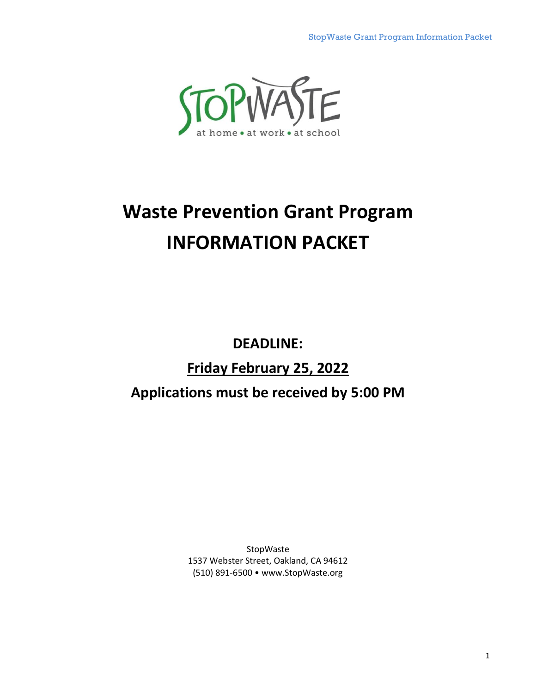<span id="page-0-0"></span>

# **Waste Prevention Grant Program INFORMATION PACKET**

**DEADLINE:**

# **Friday February 25, 2022**

# **Applications must be received by 5:00 PM**

**StopWaste** 1537 Webster Street, Oakland, CA 94612 (510) 891-6500 • www.StopWaste.org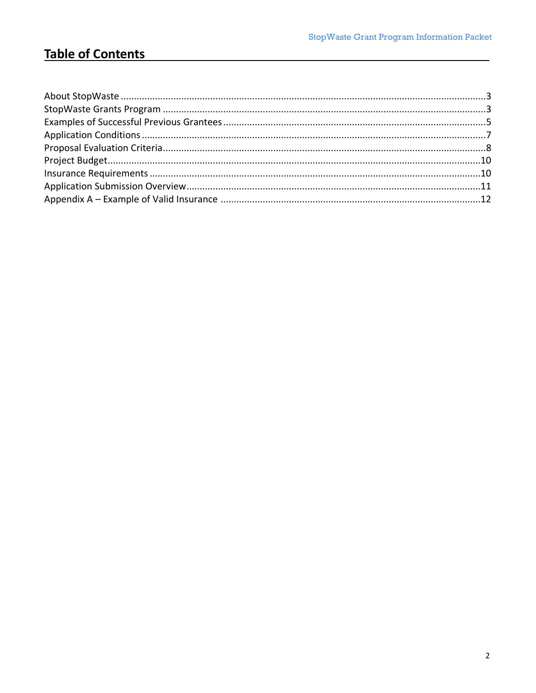# **Table of Contents**

<u> a shekara ta 1999 a shekara ta 1999 a shekara ta 1999 a shekara ta 1999 a shekara ta 1999 a shekara ta 1999 a</u>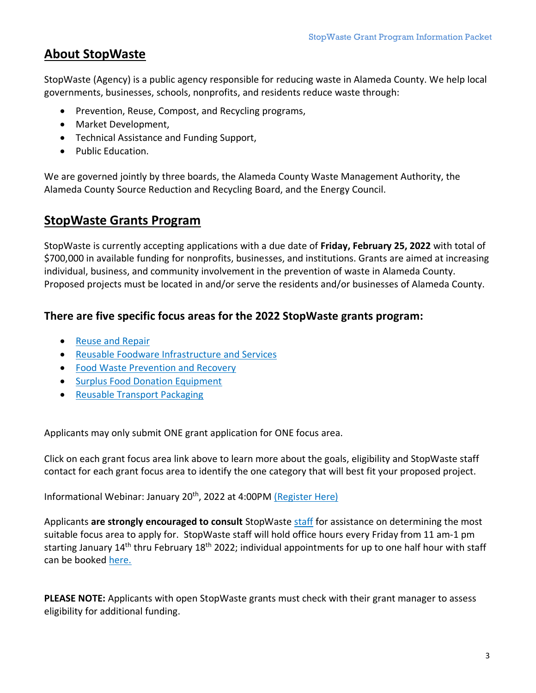# <span id="page-2-0"></span>**About StopWaste**

StopWaste (Agency) is a public agency responsible for reducing waste in Alameda County. We help local governments, businesses, schools, nonprofits, and residents reduce waste through:

- Prevention, Reuse, Compost, and Recycling programs,
- Market Development,
- Technical Assistance and Funding Support,
- Public Education.

We are governed jointly by three boards, the Alameda County Waste Management Authority, the Alameda County Source Reduction and Recycling Board, and the Energy Council.

### <span id="page-2-1"></span>**StopWaste Grants Program**

StopWaste is currently accepting applications with a due date of **Friday, February 25, 2022** with total of \$700,000 in available funding for nonprofits, businesses, and institutions. Grants are aimed at increasing individual, business, and community involvement in the prevention of waste in Alameda County. Proposed projects must be located in and/or serve the residents and/or businesses of Alameda County.

#### **There are five specific focus areas for the 2022 StopWaste grants program:**

- [Reuse and Repair](https://www.stopwaste.org/at-work/stopwaste-grants/reuse-and-repair-grants)
- [Reusable Foodware Infrastructure](https://www.stopwaste.org/at-work/stopwaste-grants/reusable-foodware-infrastructure-grants) and Services
- [Food Waste Prevention and Recovery](https://www.stopwaste.org/at-work/stopwaste-grants/food-waste-reduction-grants)
- [Surplus Food Donation Equipment](https://www.stopwaste.org/at-work/stopwaste-grants/surplus-food-donation-equipment-grants)
- [Reusable Transport Packaging](https://www.stopwaste.org/at-work/stopwaste-grants/reusable-transport-packaging-grants)

Applicants may only submit ONE grant application for ONE focus area.

Click on each grant focus area link above to learn more about the goals, eligibility and StopWaste staff contact for each grant focus area to identify the one category that will best fit your proposed project.

Informational Webinar: January 20<sup>th</sup>, 2022 at 4:00PM [\(Register Here\)](https://stopwaste.zoom.us/webinar/register/WN_YmrSrdxtTzKfeFhddBl9zw)

Applicants **are strongly encouraged to consult** StopWaste [staff](https://www.stopwaste.org/at-work/stopwaste-grants/contact) for assistance on determining the most suitable focus area to apply for. StopWaste staff will hold office hours every Friday from 11 am-1 pm starting January 14<sup>th</sup> thru February 18<sup>th</sup> 2022; individual appointments for up to one half hour with staff can be booked [here.](https://calendly.com/reusegrants)

**PLEASE NOTE:** Applicants with open StopWaste grants must check with their grant manager to assess eligibility for additional funding.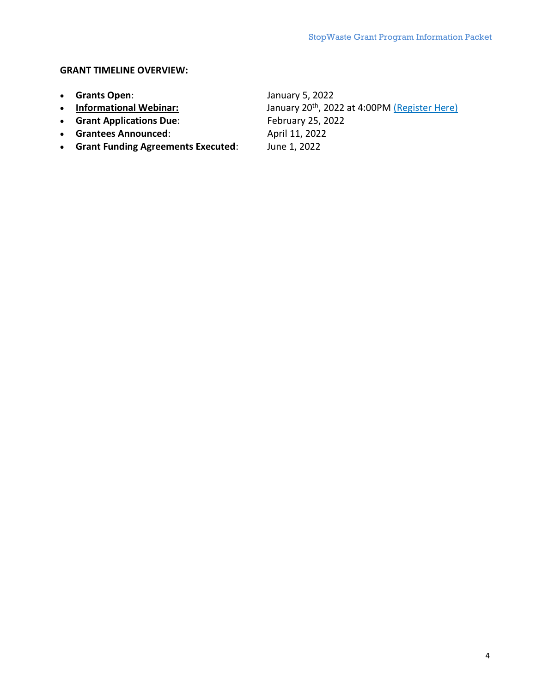#### **GRANT TIMELINE OVERVIEW:**

- 
- 
- 
- **•** Grantees Announced:
- **Grant Funding Agreements Executed**: June 1, 2022

• **Grants Open:** January 5, 2022<br>• **Informational Webinar:** January 20<sup>th</sup>, 202 January 20<sup>th</sup>, 2022 at 4:00PM [\(Register Here\)](https://stopwaste.zoom.us/webinar/register/WN_YmrSrdxtTzKfeFhddBl9zw) • **Grant Applications Due:** February 25, 2022<br>• Grantees Announced: April 11, 2022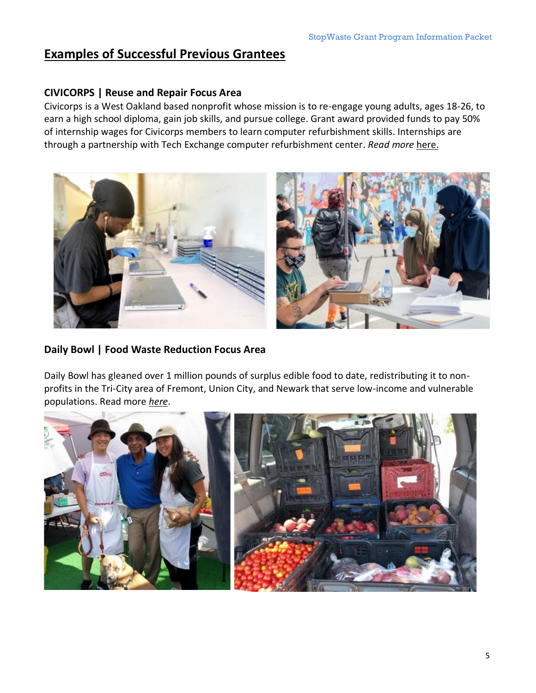### <span id="page-4-0"></span>**Examples of Successful Previous Grantees**

#### **CIVICORPS | Reuse and Repair Focus Area**

Civicorps is a West Oakland based nonprofit whose mission is to re-engage young adults, ages 18-26, to earn a high school diploma, gain job skills, and pursue college. Grant award provided funds to pay 50% of internship wages for Civicorps members to learn computer refurbishment skills. Internships are through a partnership with Tech Exchange computer refurbishment center. *Read more* [here.](https://www.stopwaste.org/resource/civicorps?page=search)



#### **Daily Bowl | Food Waste Reduction Focus Area**

Daily Bowl has gleaned over 1 million pounds of surplus edible food to date, redistributing it to nonprofits in the Tri-City area of Fremont, Union City, and Newark that serve low-income and vulnerable populations. Read more *[here](https://www.stopwaste.org/resource/daily-bowl?page=search)*.

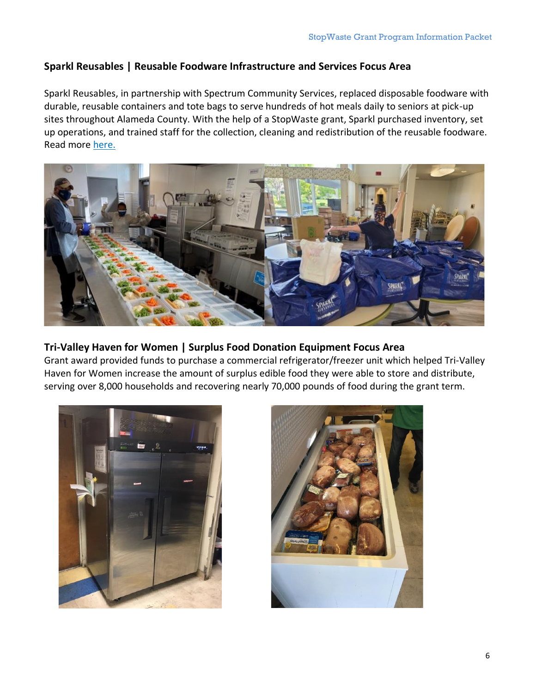#### **Sparkl Reusables | Reusable Foodware Infrastructure and Services Focus Area**

Sparkl Reusables, in partnership with Spectrum Community Services, replaced disposable foodware with durable, reusable containers and tote bags to serve hundreds of hot meals daily to seniors at pick-up sites throughout Alameda County. With the help of a StopWaste grant, Sparkl purchased inventory, set up operations, and trained staff for the collection, cleaning and redistribution of the reusable foodware. Read more [here.](https://www.stopwaste.org/resource/sparkl-reusables)



#### **Tri-Valley Haven for Women | Surplus Food Donation Equipment Focus Area**

Grant award provided funds to purchase a commercial refrigerator/freezer unit which helped Tri-Valley Haven for Women increase the amount of surplus edible food they were able to store and distribute, serving over 8,000 households and recovering nearly 70,000 pounds of food during the grant term.



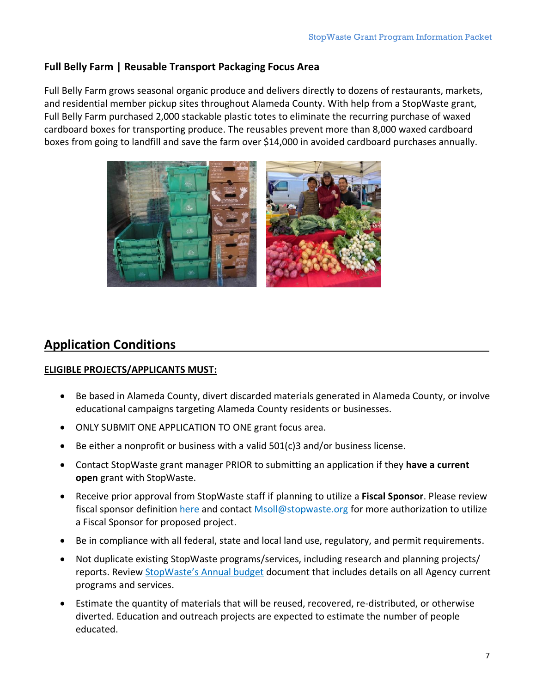#### **Full Belly Farm | Reusable Transport Packaging Focus Area**

Full Belly Farm grows seasonal organic produce and delivers directly to dozens of restaurants, markets, and residential member pickup sites throughout Alameda County. With help from a StopWaste grant, Full Belly Farm purchased 2,000 stackable plastic totes to eliminate the recurring purchase of waxed cardboard boxes for transporting produce. The reusables prevent more than 8,000 waxed cardboard boxes from going to landfill and save the farm over \$14,000 in avoided cardboard purchases annually.



### <span id="page-6-0"></span>**Application Conditions**

#### **ELIGIBLE PROJECTS/APPLICANTS MUST:**

- Be based in Alameda County, divert discarded materials generated in Alameda County, or involve educational campaigns targeting Alameda County residents or businesses.
- ONLY SUBMIT ONE APPLICATION TO ONE grant focus area.
- Be either a nonprofit or business with a valid 501(c)3 and/or business license.
- Contact StopWaste grant manager PRIOR to submitting an application if they **have a current open** grant with StopWaste.
- Receive prior approval from StopWaste staff if planning to utilize a **Fiscal Sponsor**. Please review fiscal sponsor definition [here](https://www.stopwaste.org/at-work/stopwaste-grants/grant-faqs) and contact [Msoll@stopwaste.org](mailto:Msoll@stopwaste.org) for more authorization to utilize a Fiscal Sponsor for proposed project.
- Be in compliance with all federal, state and local land use, regulatory, and permit requirements.
- Not duplicate existing StopWaste programs/services, including research and planning projects/ reports. Review [StopWaste](https://www.stopwaste.org/sites/default/files/SWBudget-21-22-9.4-ADOPTED.pdf)'s Annual budget document that includes details on all Agency current programs and services.
- Estimate the quantity of materials that will be reused, recovered, re-distributed, or otherwise diverted. Education and outreach projects are expected to estimate the number of people educated.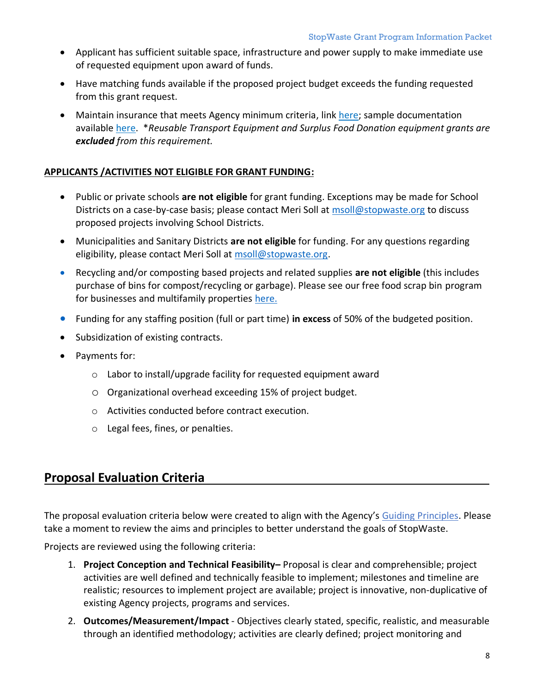- Applicant has sufficient suitable space, infrastructure and power supply to make immediate use of requested equipment upon award of funds.
- Have matching funds available if the proposed project budget exceeds the funding requested from this grant request.
- Maintain insurance that meets Agency minimum criteria, link [here;](https://www.stopwaste.org/resource/stopwaste-grant-program-insurance-requirements) sample documentation available [here.](#page-0-0) \**Reusable Transport Equipment and Surplus Food Donation equipment grants are excluded from this requirement.*

#### <span id="page-7-0"></span>**APPLICANTS /ACTIVITIES NOT ELIGIBLE FOR GRANT FUNDING:**

- Public or private schools **are not eligible** for grant funding. Exceptions may be made for School Districts on a case-by-case basis; please contact Meri Soll at [msoll@stopwaste.org](mailto:msoll@stopwaste.org) to discuss proposed projects involving School Districts.
- Municipalities and Sanitary Districts **are not eligible** for funding. For any questions regarding eligibility, please contact Meri Soll at [msoll@stopwaste.org.](mailto:msoll@stopwaste.org)
- Recycling and/or composting based projects and related supplies **are not eligible** (this includes purchase of bins for compost/recycling or garbage). Please see our free food scrap bin program for businesses and multifamily properties [here.](https://www.stopwaste.org/at-work/business-assistance/food-scrap-bins-for-businesses-multifamily-properties)
- Funding for any staffing position (full or part time) **in excess** of 50% of the budgeted position.
- Subsidization of existing contracts.
- Payments for:
	- o Labor to install/upgrade facility for requested equipment award
	- o Organizational overhead exceeding 15% of project budget.
	- o Activities conducted before contract execution.
	- o Legal fees, fines, or penalties.

### **Proposal Evaluation Criteria**

The proposal evaluation criteria below were created to align with the Agency's [Guiding Principles.](https://www.stopwaste.org/about-stopwaste/who-we-are/aims-and-guiding-principles) Please take a moment to review the aims and principles to better understand the goals of StopWaste.

Projects are reviewed using the following criteria:

- 1. **Project Conception and Technical Feasibility–** Proposal is clear and comprehensible; project activities are well defined and technically feasible to implement; milestones and timeline are realistic; resources to implement project are available; project is innovative, non-duplicative of existing Agency projects, programs and services.
- 2. **Outcomes/Measurement/Impact** Objectives clearly stated, specific, realistic, and measurable through an identified methodology; activities are clearly defined; project monitoring and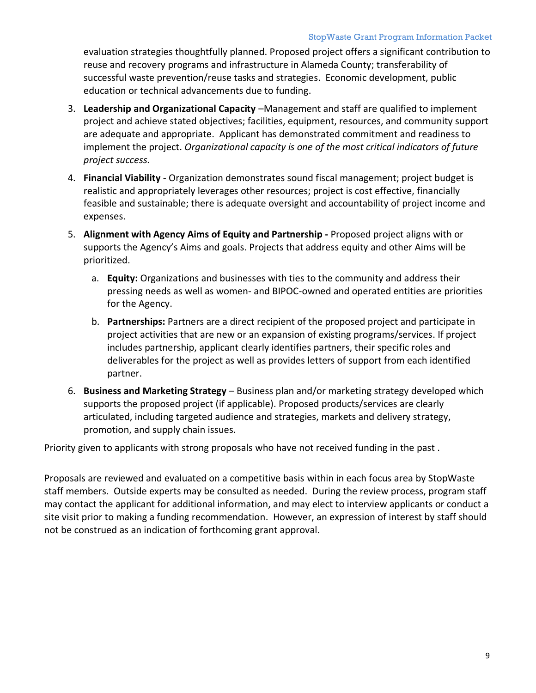evaluation strategies thoughtfully planned. Proposed project offers a significant contribution to reuse and recovery programs and infrastructure in Alameda County; transferability of successful waste prevention/reuse tasks and strategies. Economic development, public education or technical advancements due to funding.

- 3. **Leadership and Organizational Capacity** –Management and staff are qualified to implement project and achieve stated objectives; facilities, equipment, resources, and community support are adequate and appropriate. Applicant has demonstrated commitment and readiness to implement the project. *Organizational capacity is one of the most critical indicators of future project success.*
- 4. **Financial Viability** Organization demonstrates sound fiscal management; project budget is realistic and appropriately leverages other resources; project is cost effective, financially feasible and sustainable; there is adequate oversight and accountability of project income and expenses.
- 5. **Alignment with Agency Aims of Equity and Partnership -** Proposed project aligns with or supports the Agency's Aims and goals. Projects that address equity and other Aims will be prioritized.
	- a. **Equity:** Organizations and businesses with ties to the community and address their pressing needs as well as women- and BIPOC-owned and operated entities are priorities for the Agency.
	- b. **Partnerships:** Partners are a direct recipient of the proposed project and participate in project activities that are new or an expansion of existing programs/services. If project includes partnership, applicant clearly identifies partners, their specific roles and deliverables for the project as well as provides letters of support from each identified partner.
- 6. **Business and Marketing Strategy** Business plan and/or marketing strategy developed which supports the proposed project (if applicable). Proposed products/services are clearly articulated, including targeted audience and strategies, markets and delivery strategy, promotion, and supply chain issues.

Priority given to applicants with strong proposals who have not received funding in the past .

<span id="page-8-0"></span>Proposals are reviewed and evaluated on a competitive basis within in each focus area by StopWaste staff members. Outside experts may be consulted as needed. During the review process, program staff may contact the applicant for additional information, and may elect to interview applicants or conduct a site visit prior to making a funding recommendation. However, an expression of interest by staff should not be construed as an indication of forthcoming grant approval.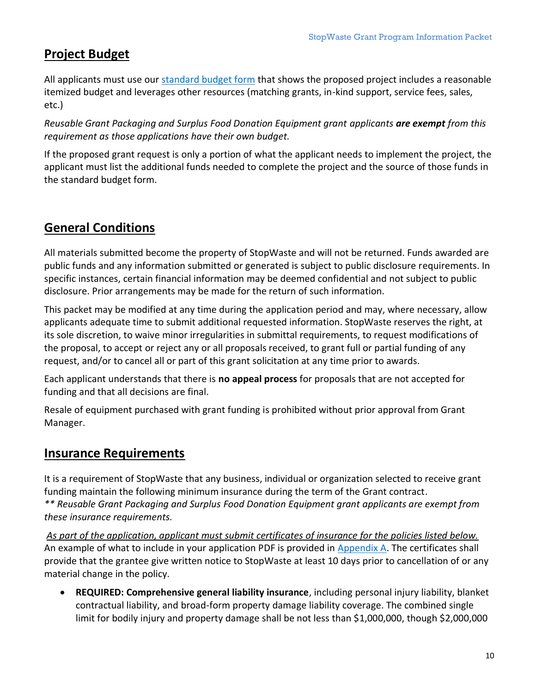# **Project Budget**

All applicants must use our [standard budget form](http://www.stopwaste.org/resource/grant-budget-template) that shows the proposed project includes a reasonable itemized budget and leverages other resources (matching grants, in-kind support, service fees, sales, etc.)

*Reusable Grant Packaging and Surplus Food Donation Equipment grant applicants are exempt from this requirement as those applications have their own budget.*

If the proposed grant request is only a portion of what the applicant needs to implement the project, the applicant must list the additional funds needed to complete the project and the source of those funds in the standard budget form.

# **General Conditions**

All materials submitted become the property of StopWaste and will not be returned. Funds awarded are public funds and any information submitted or generated is subject to public disclosure requirements. In specific instances, certain financial information may be deemed confidential and not subject to public disclosure. Prior arrangements may be made for the return of such information.

This packet may be modified at any time during the application period and may, where necessary, allow applicants adequate time to submit additional requested information. StopWaste reserves the right, at its sole discretion, to waive minor irregularities in submittal requirements, to request modifications of the proposal, to accept or reject any or all proposals received, to grant full or partial funding of any request, and/or to cancel all or part of this grant solicitation at any time prior to awards.

Each applicant understands that there is **no appeal process** for proposals that are not accepted for funding and that all decisions are final.

Resale of equipment purchased with grant funding is prohibited without prior approval from Grant Manager.

# <span id="page-9-0"></span>**Insurance Requirements**

It is a requirement of StopWaste that any business, individual or organization selected to receive grant funding maintain the following minimum insurance during the term of the Grant contract. *\*\* Reusable Grant Packaging and Surplus Food Donation Equipment grant applicants are exempt from these insurance requirements.*

*As part of the application, applicant must submit certificates of insurance for the policies listed below.* An example of what to include in your application PDF is provided in [Appendix A.](#page-0-0) The certificates shall provide that the grantee give written notice to StopWaste at least 10 days prior to cancellation of or any material change in the policy.

• **REQUIRED: Comprehensive general liability insurance**, including personal injury liability, blanket contractual liability, and broad-form property damage liability coverage. The combined single limit for bodily injury and property damage shall be not less than \$1,000,000, though \$2,000,000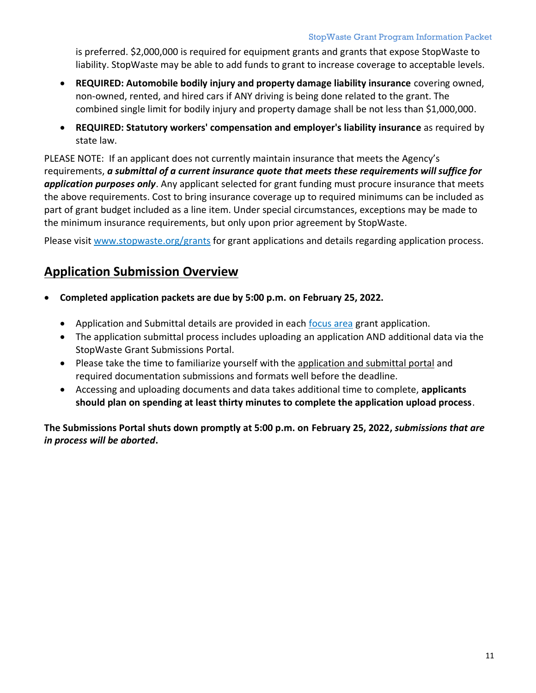is preferred. \$2,000,000 is required for equipment grants and grants that expose StopWaste to liability. StopWaste may be able to add funds to grant to increase coverage to acceptable levels.

- **REQUIRED: Automobile bodily injury and property damage liability insurance** covering owned, non-owned, rented, and hired cars if ANY driving is being done related to the grant. The combined single limit for bodily injury and property damage shall be not less than \$1,000,000.
- **REQUIRED: Statutory workers' compensation and employer's liability insurance** as required by state law.

PLEASE NOTE: If an applicant does not currently maintain insurance that meets the Agency's requirements, *a submittal of a current insurance quote that meets these requirements will suffice for application purposes only*. Any applicant selected for grant funding must procure insurance that meets the above requirements. Cost to bring insurance coverage up to required minimums can be included as part of grant budget included as a line item. Under special circumstances, exceptions may be made to the minimum insurance requirements, but only upon prior agreement by StopWaste.

<span id="page-10-0"></span>Please visit [www.stopwaste.org/grants](http://www.stopwaste.org/grants) for grant applications and details regarding application process.

## **Application Submission Overview**

- **Completed application packets are due by 5:00 p.m. on February 25, 2022.** 
	- Application and Submittal details are provided in each [focus area](https://www.stopwaste.org/at-work/stopwaste-grants) grant application.
	- The application submittal process includes uploading an application AND additional data via the StopWaste Grant Submissions Portal.
	- Please take the time to familiarize yourself with the [application and submittal portal](http://www.stopwaste.org/grants) and required documentation submissions and formats well before the deadline.
	- Accessing and uploading documents and data takes additional time to complete, **applicants should plan on spending at least thirty minutes to complete the application upload process**.

**The Submissions Portal shuts down promptly at 5:00 p.m. on February 25, 2022,** *submissions that are in process will be aborted***.**